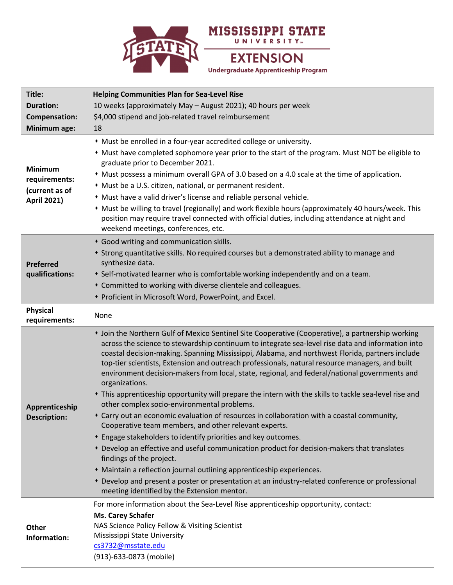

| Title:                                                                  | <b>Helping Communities Plan for Sea-Level Rise</b>                                                                                                                                                                                                                                                                                                                                                                                                                                                                                                                                                                                                                                                                                                                                                                                                                                                                                                                                                               |
|-------------------------------------------------------------------------|------------------------------------------------------------------------------------------------------------------------------------------------------------------------------------------------------------------------------------------------------------------------------------------------------------------------------------------------------------------------------------------------------------------------------------------------------------------------------------------------------------------------------------------------------------------------------------------------------------------------------------------------------------------------------------------------------------------------------------------------------------------------------------------------------------------------------------------------------------------------------------------------------------------------------------------------------------------------------------------------------------------|
| <b>Duration:</b>                                                        | 10 weeks (approximately May - August 2021); 40 hours per week                                                                                                                                                                                                                                                                                                                                                                                                                                                                                                                                                                                                                                                                                                                                                                                                                                                                                                                                                    |
| Compensation:                                                           | \$4,000 stipend and job-related travel reimbursement                                                                                                                                                                                                                                                                                                                                                                                                                                                                                                                                                                                                                                                                                                                                                                                                                                                                                                                                                             |
| Minimum age:                                                            | 18                                                                                                                                                                                                                                                                                                                                                                                                                                                                                                                                                                                                                                                                                                                                                                                                                                                                                                                                                                                                               |
| <b>Minimum</b><br>requirements:<br>(current as of<br><b>April 2021)</b> | • Must be enrolled in a four-year accredited college or university.<br>• Must have completed sophomore year prior to the start of the program. Must NOT be eligible to<br>graduate prior to December 2021.<br>• Must possess a minimum overall GPA of 3.0 based on a 4.0 scale at the time of application.<br>* Must be a U.S. citizen, national, or permanent resident.                                                                                                                                                                                                                                                                                                                                                                                                                                                                                                                                                                                                                                         |
|                                                                         | • Must have a valid driver's license and reliable personal vehicle.<br>• Must be willing to travel (regionally) and work flexible hours (approximately 40 hours/week. This<br>position may require travel connected with official duties, including attendance at night and<br>weekend meetings, conferences, etc.                                                                                                                                                                                                                                                                                                                                                                                                                                                                                                                                                                                                                                                                                               |
| <b>Preferred</b><br>qualifications:                                     | * Good writing and communication skills.<br>* Strong quantitative skills. No required courses but a demonstrated ability to manage and<br>synthesize data.<br>• Self-motivated learner who is comfortable working independently and on a team.<br>* Committed to working with diverse clientele and colleagues.<br>* Proficient in Microsoft Word, PowerPoint, and Excel.                                                                                                                                                                                                                                                                                                                                                                                                                                                                                                                                                                                                                                        |
| <b>Physical</b><br>requirements:                                        | None                                                                                                                                                                                                                                                                                                                                                                                                                                                                                                                                                                                                                                                                                                                                                                                                                                                                                                                                                                                                             |
| Apprenticeship<br><b>Description:</b>                                   | • Join the Northern Gulf of Mexico Sentinel Site Cooperative (Cooperative), a partnership working<br>across the science to stewardship continuum to integrate sea-level rise data and information into<br>coastal decision-making. Spanning Mississippi, Alabama, and northwest Florida, partners include<br>top-tier scientists, Extension and outreach professionals, natural resource managers, and built<br>environment decision-makers from local, state, regional, and federal/national governments and<br>organizations.<br>• This apprenticeship opportunity will prepare the intern with the skills to tackle sea-level rise and<br>other complex socio-environmental problems.<br>* Carry out an economic evaluation of resources in collaboration with a coastal community,<br>Cooperative team members, and other relevant experts.<br>* Engage stakeholders to identify priorities and key outcomes.<br>* Develop an effective and useful communication product for decision-makers that translates |
|                                                                         | findings of the project.<br>• Maintain a reflection journal outlining apprenticeship experiences.<br>* Develop and present a poster or presentation at an industry-related conference or professional<br>meeting identified by the Extension mentor.                                                                                                                                                                                                                                                                                                                                                                                                                                                                                                                                                                                                                                                                                                                                                             |
| <b>Other</b><br>Information:                                            | For more information about the Sea-Level Rise apprenticeship opportunity, contact:<br>Ms. Carey Schafer<br>NAS Science Policy Fellow & Visiting Scientist<br>Mississippi State University<br>cs3732@msstate.edu<br>(913)-633-0873 (mobile)                                                                                                                                                                                                                                                                                                                                                                                                                                                                                                                                                                                                                                                                                                                                                                       |